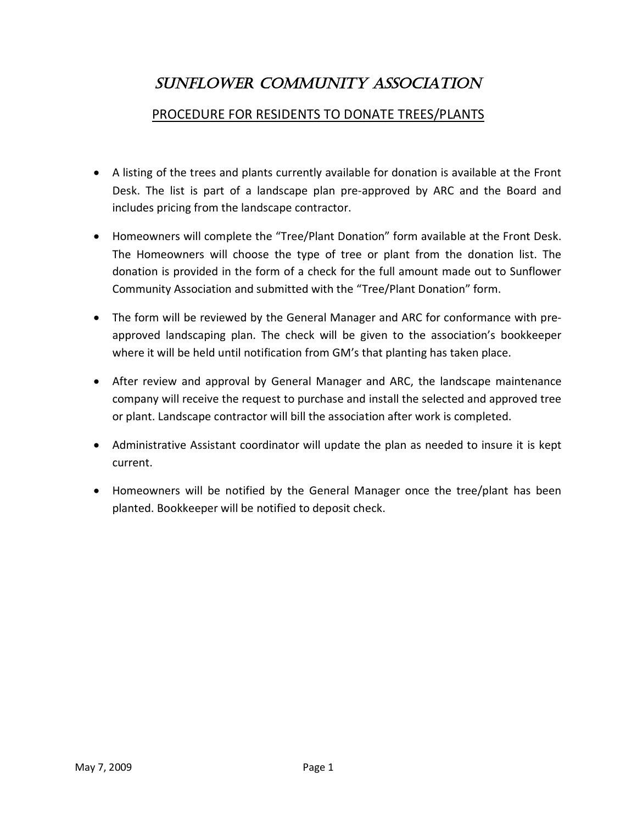## SUNFLOWER COMMUNITY ASSOCIATION

## PROCEDURE FOR RESIDENTS TO DONATE TREES/PLANTS

- A listing of the trees and plants currently available for donation is available at the Front Desk. The list is part of a landscape plan pre-approved by ARC and the Board and includes pricing from the landscape contractor.
- Homeowners will complete the "Tree/Plant Donation" form available at the Front Desk. The Homeowners will choose the type of tree or plant from the donation list. The donation is provided in the form of a check for the full amount made out to Sunflower Community Association and submitted with the "Tree/Plant Donation" form.
- The form will be reviewed by the General Manager and ARC for conformance with preapproved landscaping plan. The check will be given to the association's bookkeeper where it will be held until notification from GM's that planting has taken place.
- After review and approval by General Manager and ARC, the landscape maintenance company will receive the request to purchase and install the selected and approved tree or plant. Landscape contractor will bill the association after work is completed.
- Administrative Assistant coordinator will update the plan as needed to insure it is kept current.
- Homeowners will be notified by the General Manager once the tree/plant has been planted. Bookkeeper will be notified to deposit check.